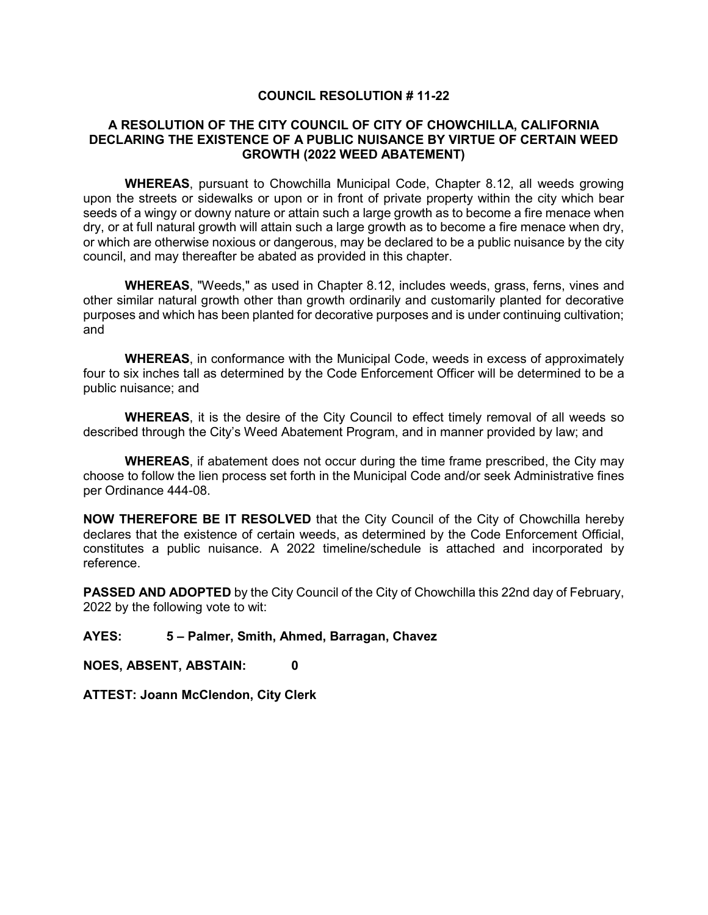## **COUNCIL RESOLUTION # 11-22**

## **A RESOLUTION OF THE CITY COUNCIL OF CITY OF CHOWCHILLA, CALIFORNIA DECLARING THE EXISTENCE OF A PUBLIC NUISANCE BY VIRTUE OF CERTAIN WEED GROWTH (2022 WEED ABATEMENT)**

**WHEREAS**, pursuant to Chowchilla Municipal Code, Chapter 8.12, all weeds growing upon the streets or sidewalks or upon or in front of private property within the city which bear seeds of a wingy or downy nature or attain such a large growth as to become a fire menace when dry, or at full natural growth will attain such a large growth as to become a fire menace when dry, or which are otherwise noxious or dangerous, may be declared to be a public nuisance by the city council, and may thereafter be abated as provided in this chapter.

**WHEREAS**, "Weeds," as used in Chapter 8.12, includes weeds, grass, ferns, vines and other similar natural growth other than growth ordinarily and customarily planted for decorative purposes and which has been planted for decorative purposes and is under continuing cultivation; and

**WHEREAS**, in conformance with the Municipal Code, weeds in excess of approximately four to six inches tall as determined by the Code Enforcement Officer will be determined to be a public nuisance; and

**WHEREAS**, it is the desire of the City Council to effect timely removal of all weeds so described through the City's Weed Abatement Program, and in manner provided by law; and

**WHEREAS**, if abatement does not occur during the time frame prescribed, the City may choose to follow the lien process set forth in the Municipal Code and/or seek Administrative fines per Ordinance 444-08.

**NOW THEREFORE BE IT RESOLVED** that the City Council of the City of Chowchilla hereby declares that the existence of certain weeds, as determined by the Code Enforcement Official, constitutes a public nuisance. A 2022 timeline/schedule is attached and incorporated by reference.

**PASSED AND ADOPTED** by the City Council of the City of Chowchilla this 22nd day of February, 2022 by the following vote to wit:

## **AYES: 5 – Palmer, Smith, Ahmed, Barragan, Chavez**

**NOES, ABSENT, ABSTAIN: 0**

**ATTEST: Joann McClendon, City Clerk**